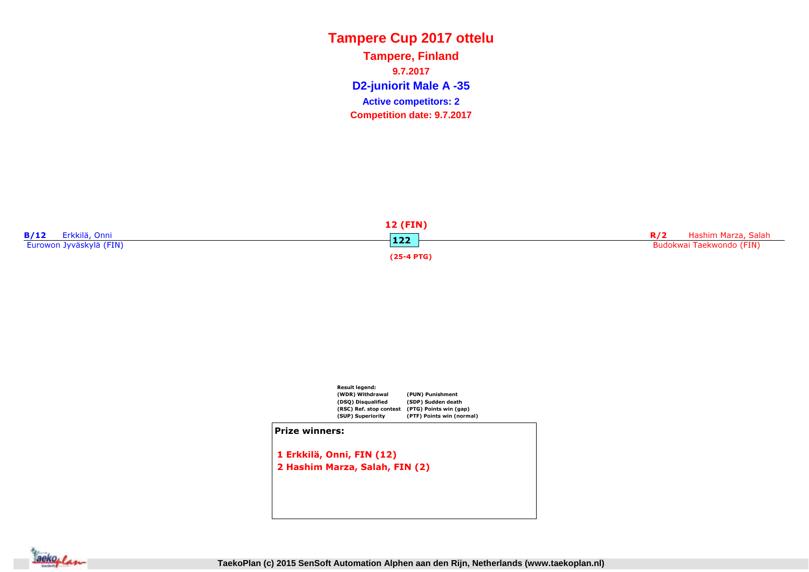**D2-juniorit Male A -35 Tampere, Finland9.7.2017Competition date: 9.7.2017 Active competitors: 2**





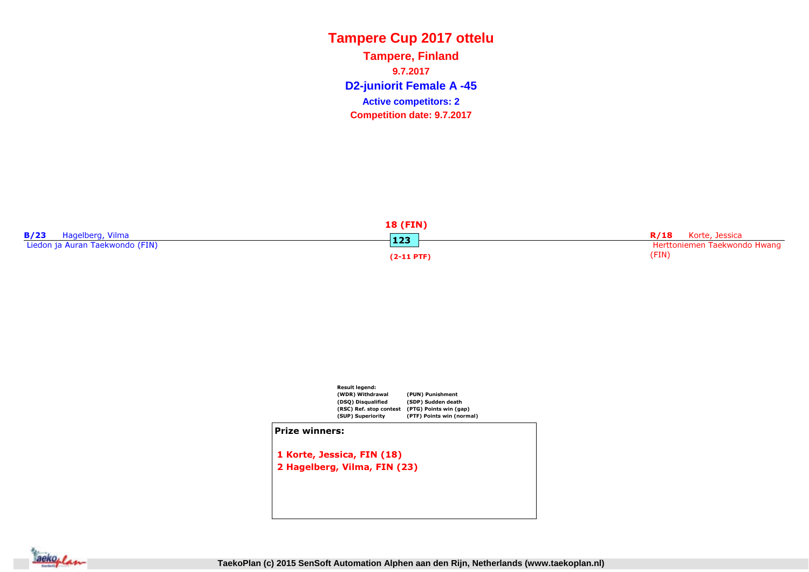**D2-juniorit Female A -45 Tampere, Finland9.7.2017Competition date: 9.7.2017 Active competitors: 2**

| <b>18 (FIN)</b>                 |              |                              |  |
|---------------------------------|--------------|------------------------------|--|
| B/23<br>Hagelberg, Vilma        | 123          | <b>R/18</b> Korte, Jessica   |  |
| Liedon ja Auran Taekwondo (FIN) |              | Herttoniemen Taekwondo Hwang |  |
|                                 | $(2-11$ PTF) | (FIN)                        |  |



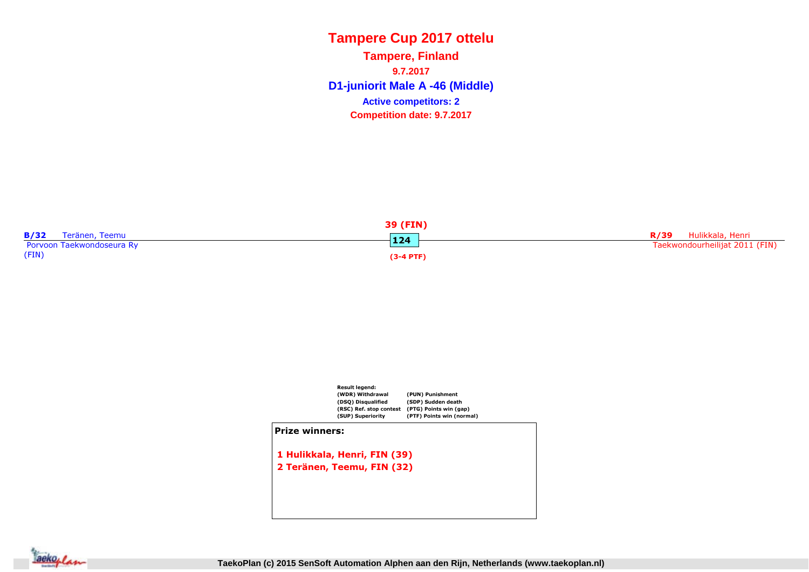**D1-juniorit Male A -46 (Middle) Tampere, Finland9.7.2017Competition date: 9.7.2017 Active competitors: 2**





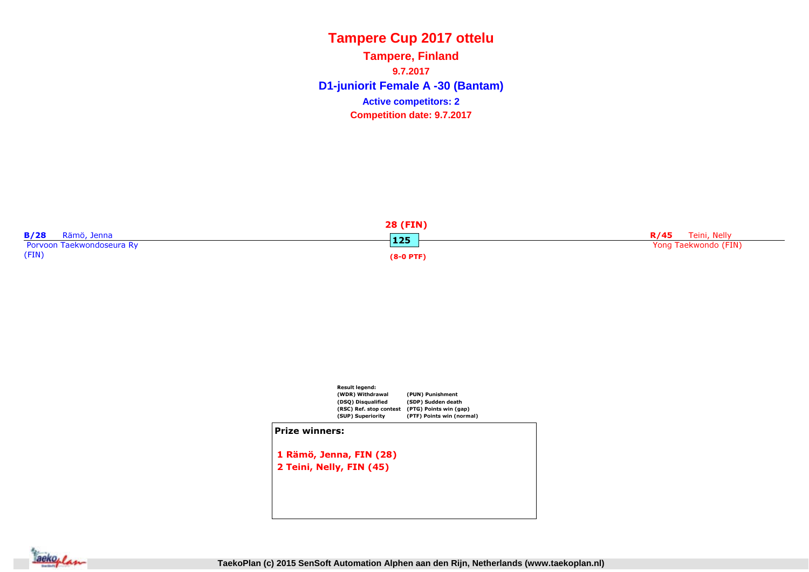**D1-juniorit Female A -30 (Bantam) Tampere, Finland9.7.2017Competition date: 9.7.2017 Active competitors: 2**





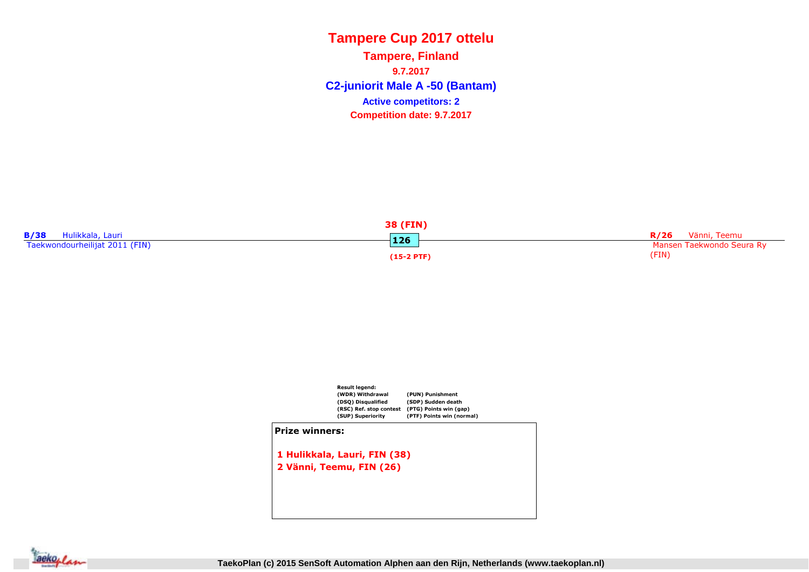**C2-juniorit Male A -50 (Bantam) Tampere, Finland9.7.2017Competition date: 9.7.2017 Active competitors: 2**





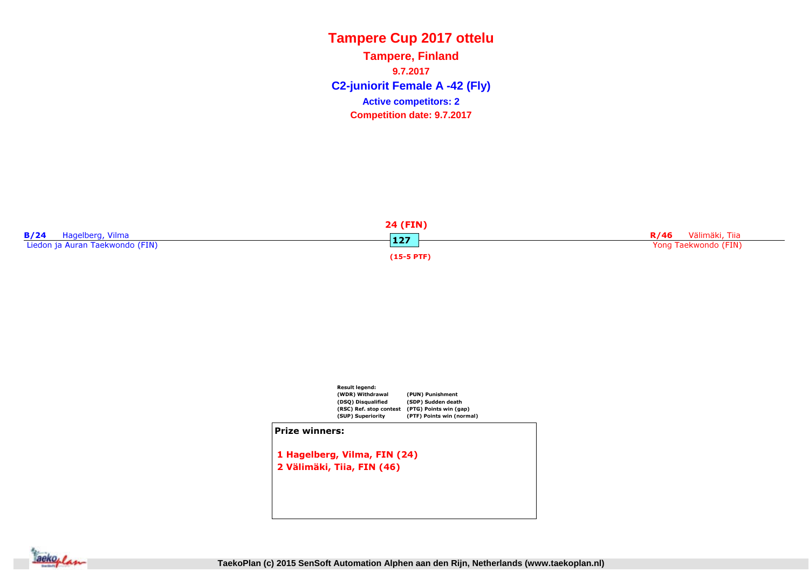**C2-juniorit Female A -42 (Fly) Tampere, Finland9.7.2017Competition date: 9.7.2017 Active competitors: 2**





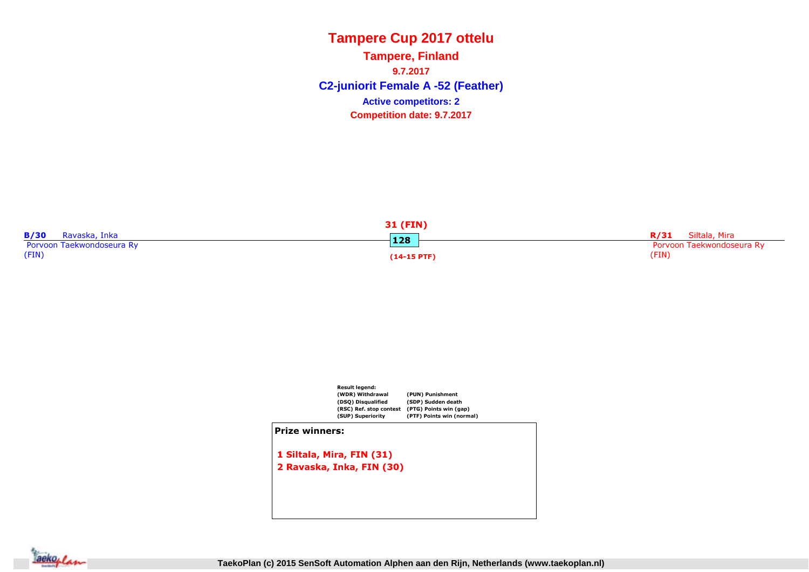**C2-juniorit Female A -52 (Feather) Tampere, Finland9.7.2017Competition date: 9.7.2017 Active competitors: 2**





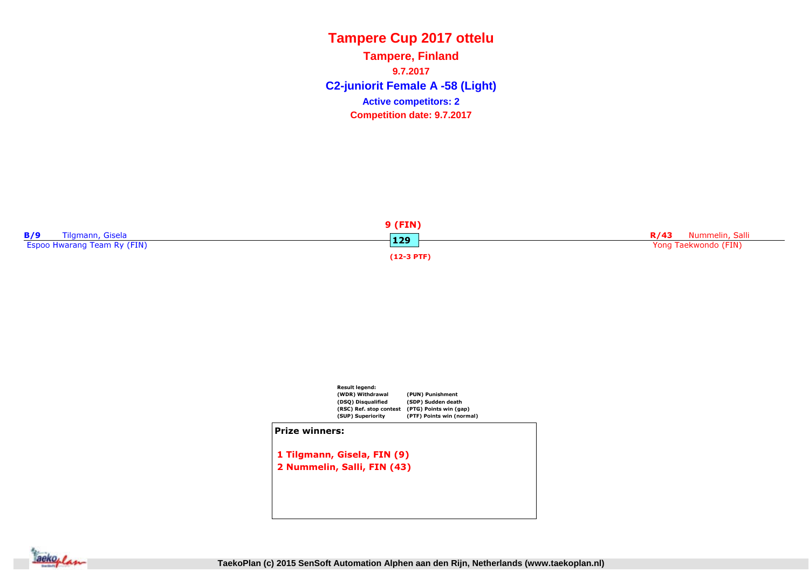**C2-juniorit Female A -58 (Light) Tampere, Finland9.7.2017Competition date: 9.7.2017 Active competitors: 2**





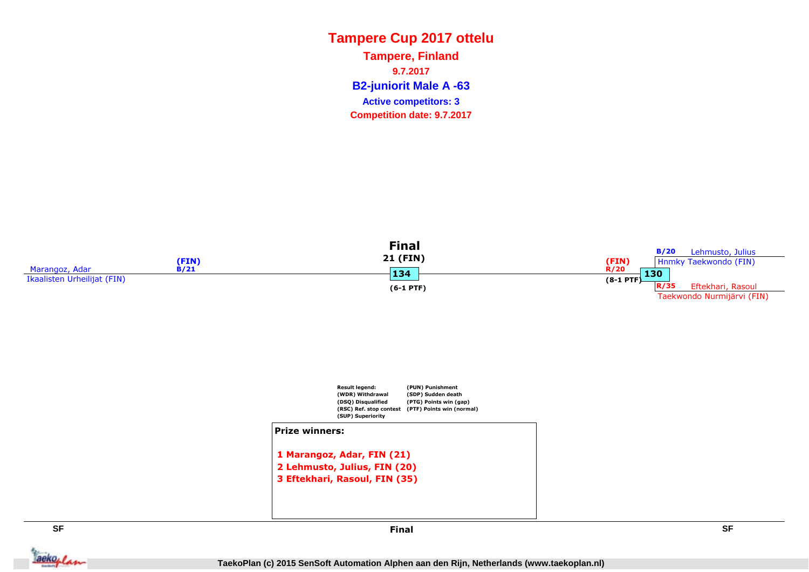**B2-juniorit Male A -63 Tampere, Finland9.7.2017Competition date: 9.7.2017 Active competitors: 3**





**SF**

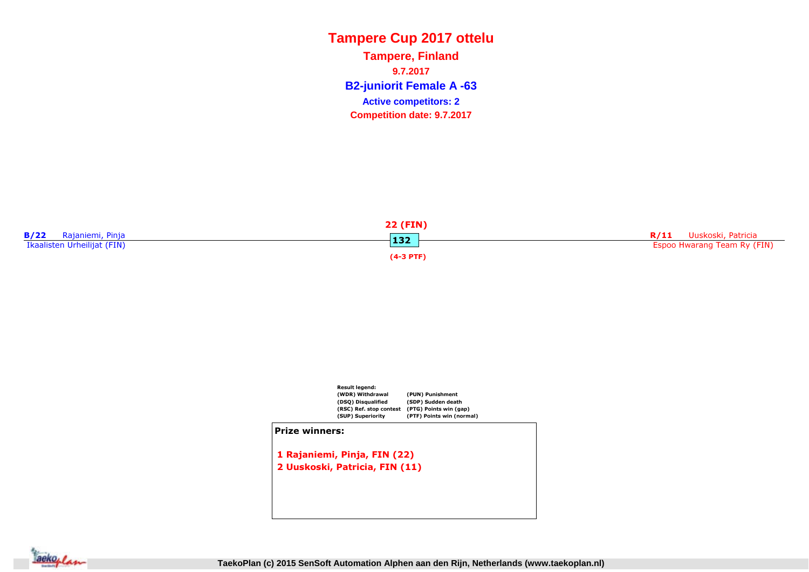**B2-juniorit Female A -63 Tampere, Finland9.7.2017Competition date: 9.7.2017 Active competitors: 2**





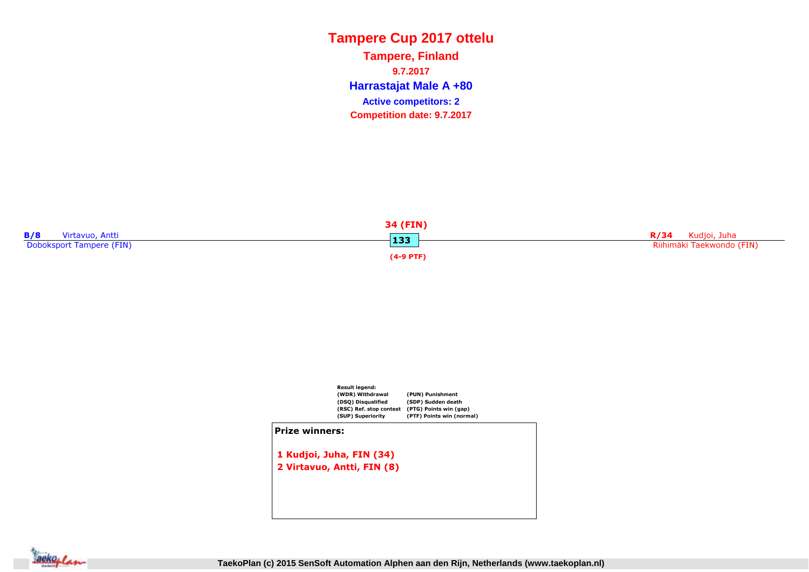**Harrastajat Male A +80 Tampere, Finland9.7.2017Competition date: 9.7.2017 Active competitors: 2**





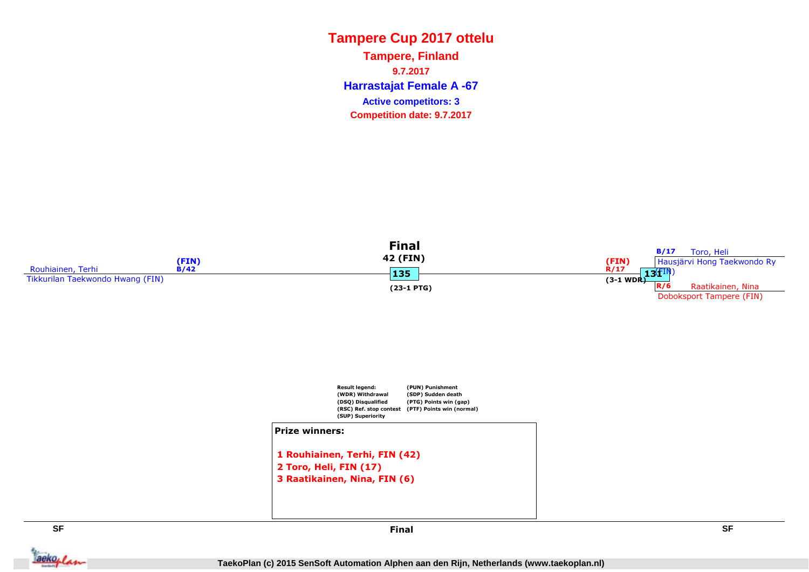**Harrastajat Female A -67 Tampere, Finland9.7.2017Competition date: 9.7.2017 Active competitors: 3**





#### Prize winners:

1 Rouhiainen, Terhi, FIN (42)2 Toro, Heli, FIN (17)3 Raatikainen, Nina, FIN (6)

**SF**

Jackeplan



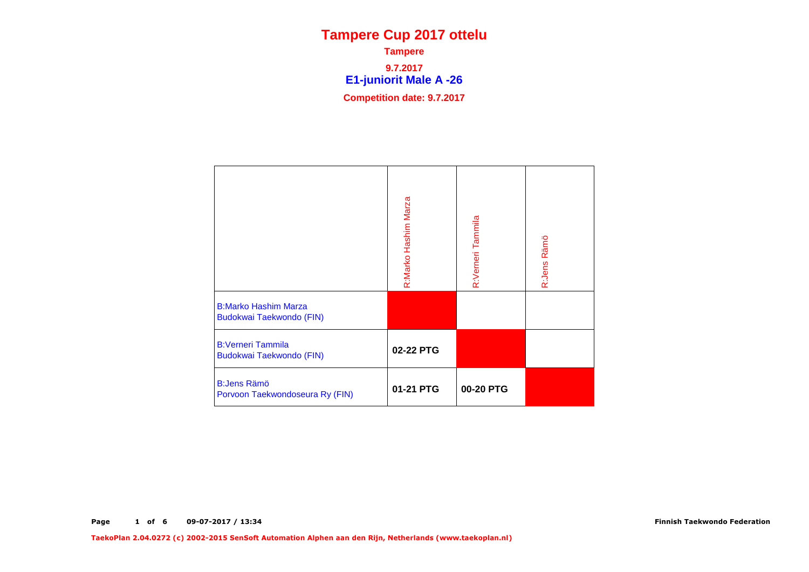**E1-juniorit Male A -26 Tampere9.7.2017Competition date: 9.7.2017**

|                                                         | R:Marko Hashim Marza | R:Verneri Tammila | R:Jens Rämö |
|---------------------------------------------------------|----------------------|-------------------|-------------|
| <b>B:Marko Hashim Marza</b><br>Budokwai Taekwondo (FIN) |                      |                   |             |
| <b>B:Verneri Tammila</b><br>Budokwai Taekwondo (FIN)    | 02-22 PTG            |                   |             |
| <b>B:Jens Rämö</b><br>Porvoon Taekwondoseura Ry (FIN)   | 01-21 PTG            | 00-20 PTG         |             |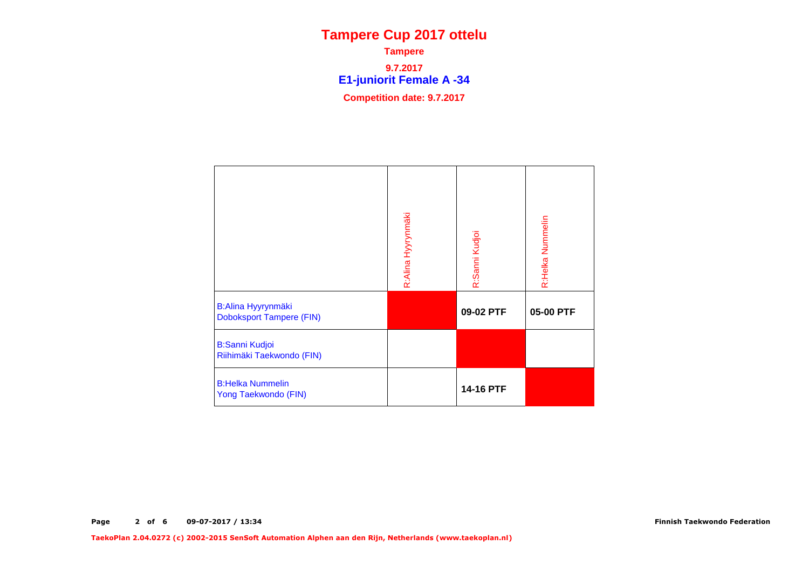**E1-juniorit Female A -34 Tampere9.7.2017Competition date: 9.7.2017**

|                                                              | R:Alina Hyyrynmäki | R:Sanni Kudjoi | R:Helka Nummelin |
|--------------------------------------------------------------|--------------------|----------------|------------------|
| <b>B:Alina Hyyrynmäki</b><br><b>Doboksport Tampere (FIN)</b> |                    | 09-02 PTF      | 05-00 PTF        |
| <b>B:Sanni Kudjoi</b><br>Riihimäki Taekwondo (FIN)           |                    |                |                  |
| <b>B:Helka Nummelin</b><br>Yong Taekwondo (FIN)              |                    | 14-16 PTF      |                  |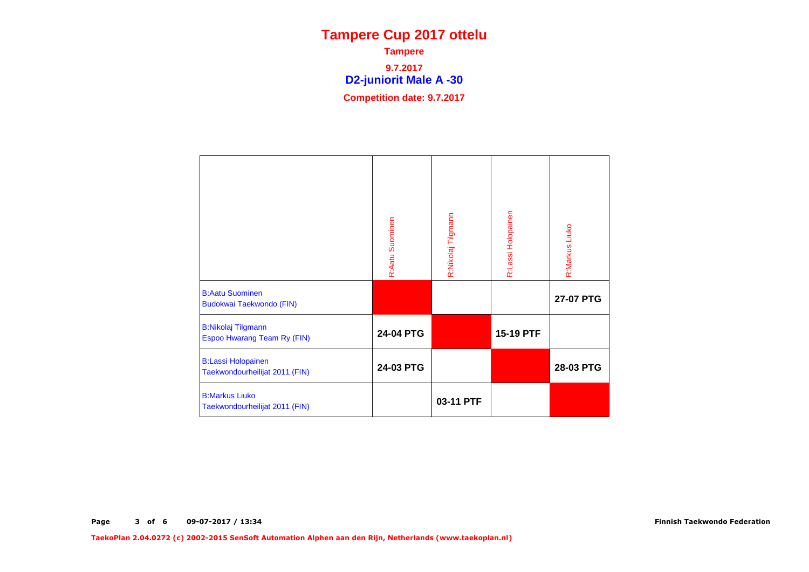**D2-juniorit Male A -30 Tampere9.7.2017Competition date: 9.7.2017**

|                                                             | R:Aatu Suominen | R:Nikolaj Tilgmann | R:Lassi Holopainen | R:Markus Liuko |
|-------------------------------------------------------------|-----------------|--------------------|--------------------|----------------|
| <b>B:Aatu Suominen</b><br>Budokwai Taekwondo (FIN)          |                 |                    |                    | 27-07 PTG      |
| <b>B:Nikolaj Tilgmann</b><br>Espoo Hwarang Team Ry (FIN)    | 24-04 PTG       |                    | 15-19 PTF          |                |
| <b>B:Lassi Holopainen</b><br>Taekwondourheilijat 2011 (FIN) | 24-03 PTG       |                    |                    | 28-03 PTG      |
| <b>B:Markus Liuko</b><br>Taekwondourheilijat 2011 (FIN)     |                 | 03-11 PTF          |                    |                |

Finnish Taekwondo Federation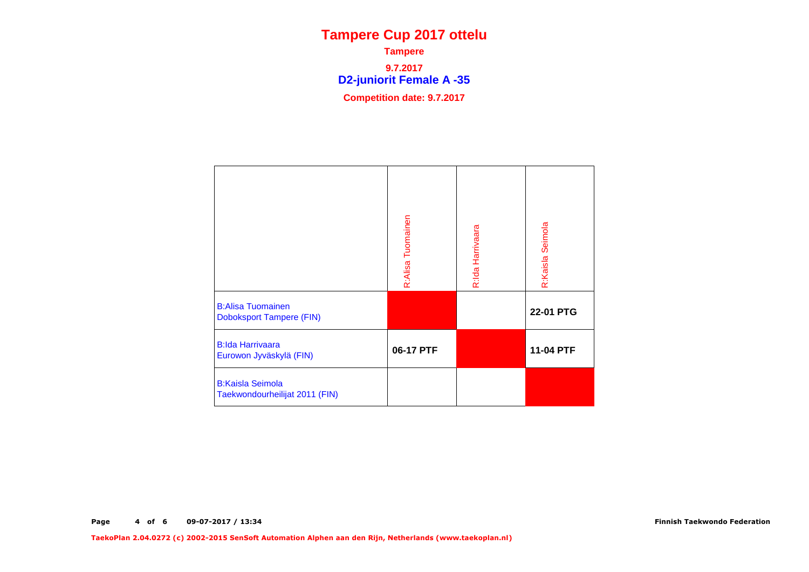**D2-juniorit Female A -35 Tampere9.7.2017Competition date: 9.7.2017**

|                                                             | R:Alisa Tuomainen | R:Ida Harrivaara | R:Kaisla Seimola |
|-------------------------------------------------------------|-------------------|------------------|------------------|
| <b>B:Alisa Tuomainen</b><br><b>Doboksport Tampere (FIN)</b> |                   |                  | 22-01 PTG        |
| <b>B:lda Harrivaara</b><br>Eurowon Jyväskylä (FIN)          | 06-17 PTF         |                  | 11-04 PTF        |
| <b>B:Kaisla Seimola</b><br>Taekwondourheilijat 2011 (FIN)   |                   |                  |                  |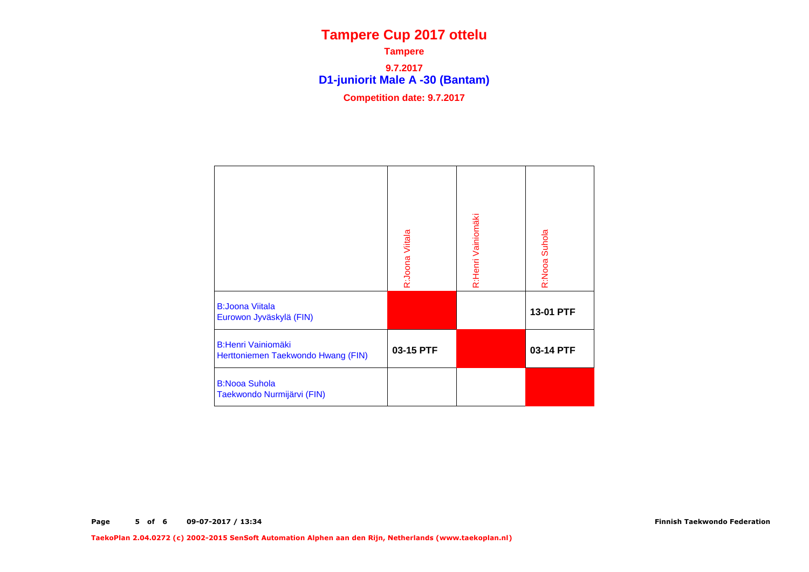**D1-juniorit Male A -30 (Bantam) Tampere9.7.2017Competition date: 9.7.2017**

|                                                                 | R:Joona Viitala | R:Henri Vainiomäki | R:Nooa Suhola |
|-----------------------------------------------------------------|-----------------|--------------------|---------------|
| <b>B:Joona Viitala</b><br>Eurowon Jyväskylä (FIN)               |                 |                    | 13-01 PTF     |
| <b>B:Henri Vainiomäki</b><br>Herttoniemen Taekwondo Hwang (FIN) | 03-15 PTF       |                    | 03-14 PTF     |
| <b>B:Nooa Suhola</b><br>Taekwondo Nurmijärvi (FIN)              |                 |                    |               |